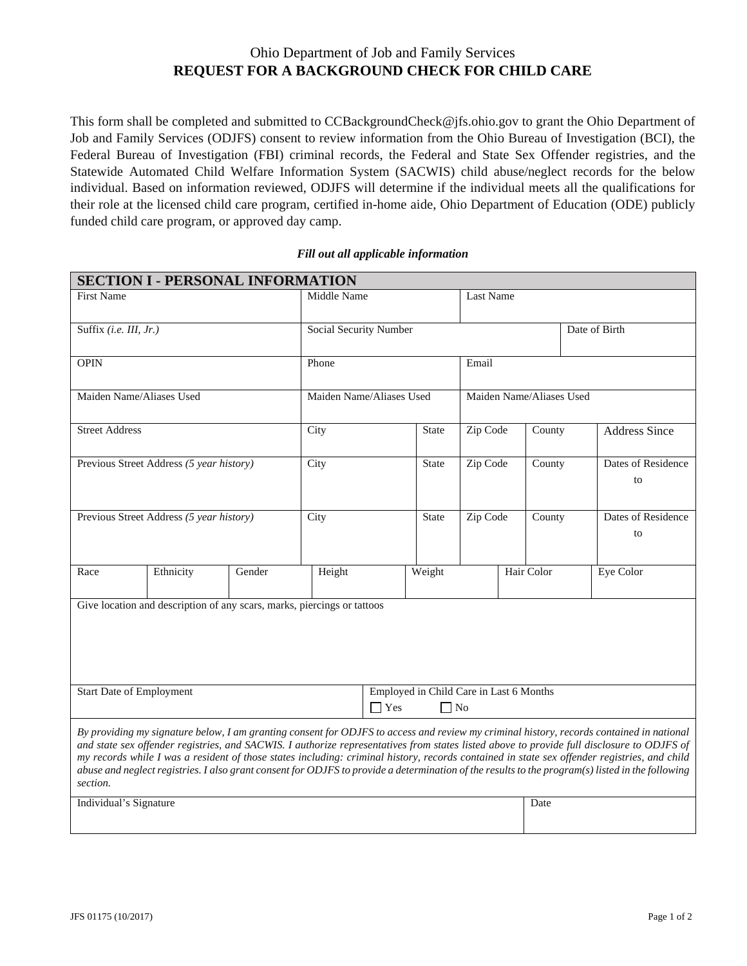## Ohio Department of Job and Family Services **REQUEST FOR A BACKGROUND CHECK FOR CHILD CARE**

This form shall be completed and submitted to CCBackgroundCheck@jfs.ohio.gov to grant the Ohio Department of Job and Family Services (ODJFS) consent to review information from the Ohio Bureau of Investigation (BCI), the Federal Bureau of Investigation (FBI) criminal records, the Federal and State Sex Offender registries, and the Statewide Automated Child Welfare Information System (SACWIS) child abuse/neglect records for the below individual. Based on information reviewed, ODJFS will determine if the individual meets all the qualifications for their role at the licensed child care program, certified in-home aide, Ohio Department of Education (ODE) publicly funded child care program, or approved day camp.

## *Fill out all applicable information*

| <b>SECTION I - PERSONAL INFORMATION</b>                                                                                                                                                                                                                                                                                                                                                                                                                                                                                                                                                                |                                                                    |        |                          |  |              |                          |      |            |  |                          |  |
|--------------------------------------------------------------------------------------------------------------------------------------------------------------------------------------------------------------------------------------------------------------------------------------------------------------------------------------------------------------------------------------------------------------------------------------------------------------------------------------------------------------------------------------------------------------------------------------------------------|--------------------------------------------------------------------|--------|--------------------------|--|--------------|--------------------------|------|------------|--|--------------------------|--|
| <b>First Name</b>                                                                                                                                                                                                                                                                                                                                                                                                                                                                                                                                                                                      |                                                                    |        | Middle Name              |  |              | <b>Last Name</b>         |      |            |  |                          |  |
| Suffix (i.e. III, Jr.)                                                                                                                                                                                                                                                                                                                                                                                                                                                                                                                                                                                 |                                                                    |        | Social Security Number   |  |              | Date of Birth            |      |            |  |                          |  |
| <b>OPIN</b>                                                                                                                                                                                                                                                                                                                                                                                                                                                                                                                                                                                            |                                                                    |        | Phone                    |  |              | Email                    |      |            |  |                          |  |
| Maiden Name/Aliases Used                                                                                                                                                                                                                                                                                                                                                                                                                                                                                                                                                                               |                                                                    |        | Maiden Name/Aliases Used |  |              | Maiden Name/Aliases Used |      |            |  |                          |  |
| <b>Street Address</b>                                                                                                                                                                                                                                                                                                                                                                                                                                                                                                                                                                                  |                                                                    |        | City                     |  | <b>State</b> | Zip Code                 |      | County     |  | <b>Address Since</b>     |  |
| Previous Street Address (5 year history)                                                                                                                                                                                                                                                                                                                                                                                                                                                                                                                                                               |                                                                    |        | City                     |  | State        | Zip Code                 |      | County     |  | Dates of Residence<br>to |  |
| Previous Street Address (5 year history)                                                                                                                                                                                                                                                                                                                                                                                                                                                                                                                                                               |                                                                    |        | City                     |  | <b>State</b> | Zip Code                 |      | County     |  | Dates of Residence<br>to |  |
| Race                                                                                                                                                                                                                                                                                                                                                                                                                                                                                                                                                                                                   | Ethnicity                                                          | Gender | Height                   |  | Weight       |                          |      | Hair Color |  | Eye Color                |  |
| Give location and description of any scars, marks, piercings or tattoos                                                                                                                                                                                                                                                                                                                                                                                                                                                                                                                                |                                                                    |        |                          |  |              |                          |      |            |  |                          |  |
| <b>Start Date of Employment</b>                                                                                                                                                                                                                                                                                                                                                                                                                                                                                                                                                                        | Employed in Child Care in Last 6 Months<br>$\Box$ Yes<br>$\Box$ No |        |                          |  |              |                          |      |            |  |                          |  |
| By providing my signature below, I am granting consent for ODJFS to access and review my criminal history, records contained in national<br>and state sex offender registries, and SACWIS. I authorize representatives from states listed above to provide full disclosure to ODJFS of<br>my records while I was a resident of those states including: criminal history, records contained in state sex offender registries, and child<br>abuse and neglect registries. I also grant consent for ODJFS to provide a determination of the results to the program(s) listed in the following<br>section. |                                                                    |        |                          |  |              |                          |      |            |  |                          |  |
| Individual's Signature                                                                                                                                                                                                                                                                                                                                                                                                                                                                                                                                                                                 |                                                                    |        |                          |  |              |                          | Date |            |  |                          |  |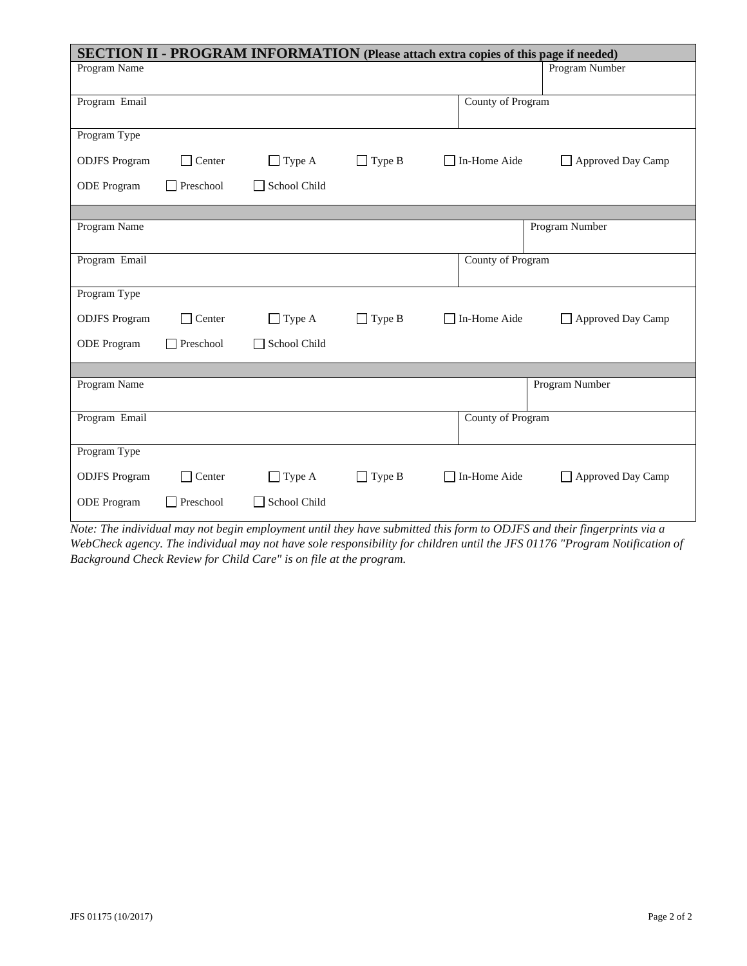| SECTION II - PROGRAM INFORMATION (Please attach extra copies of this page if needed) |               |               |               |                                                       |  |  |  |  |  |  |
|--------------------------------------------------------------------------------------|---------------|---------------|---------------|-------------------------------------------------------|--|--|--|--|--|--|
| Program Name                                                                         |               |               |               | Program Number                                        |  |  |  |  |  |  |
|                                                                                      |               |               |               |                                                       |  |  |  |  |  |  |
| Program Email                                                                        |               |               |               | County of Program                                     |  |  |  |  |  |  |
| Program Type                                                                         |               |               |               |                                                       |  |  |  |  |  |  |
| <b>ODJFS</b> Program                                                                 | $\Box$ Center | $\Box$ Type A | $\Box$ Type B | In-Home Aide<br>Approved Day Camp<br>$\Box$<br>$\Box$ |  |  |  |  |  |  |
| ODE Program                                                                          | Preschool     | School Child  |               |                                                       |  |  |  |  |  |  |
|                                                                                      |               |               |               |                                                       |  |  |  |  |  |  |
| Program Name                                                                         |               |               |               | Program Number                                        |  |  |  |  |  |  |
| Program Email                                                                        |               |               |               | County of Program                                     |  |  |  |  |  |  |
|                                                                                      |               |               |               |                                                       |  |  |  |  |  |  |
| Program Type                                                                         |               |               |               |                                                       |  |  |  |  |  |  |
| <b>ODJFS</b> Program                                                                 | $\Box$ Center | $\Box$ Type A | $\Box$ Type B | In-Home Aide<br>Approved Day Camp<br>$\mathsf{L}$     |  |  |  |  |  |  |
| <b>ODE</b> Program                                                                   | Preschool     | School Child  |               |                                                       |  |  |  |  |  |  |
|                                                                                      |               |               |               |                                                       |  |  |  |  |  |  |
| Program Name                                                                         |               |               |               | Program Number                                        |  |  |  |  |  |  |
| Program Email                                                                        |               |               |               | County of Program                                     |  |  |  |  |  |  |
|                                                                                      |               |               |               |                                                       |  |  |  |  |  |  |
| Program Type                                                                         |               |               |               |                                                       |  |  |  |  |  |  |
| <b>ODJFS</b> Program                                                                 | $\Box$ Center | $\Box$ Type A | $\Box$ Type B | In-Home Aide<br>Approved Day Camp<br>$\Box$           |  |  |  |  |  |  |
| <b>ODE</b> Program                                                                   | Preschool     | School Child  |               |                                                       |  |  |  |  |  |  |

*Note: The individual may not begin employment until they have submitted this form to ODJFS and their fingerprints via a WebCheck agency. The individual may not have sole responsibility for children until the JFS 01176 "Program Notification of Background Check Review for Child Care" is on file at the program.*